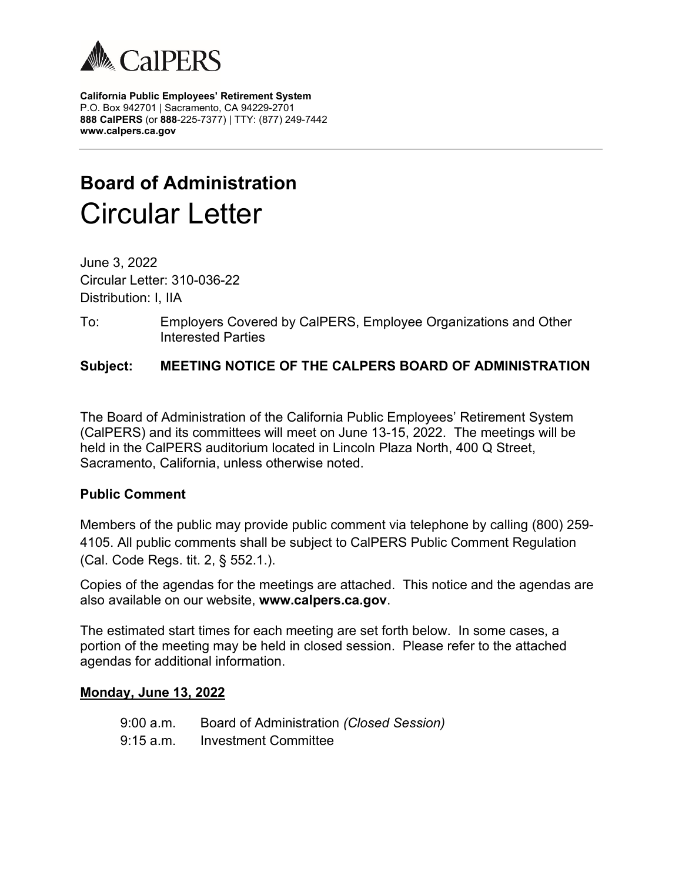

**California Public Employees' Retirement System** P.O. Box 942701 | Sacramento, CA 94229-2701 **888 CalPERS** (or **888**-225-7377) | TTY: (877) 249-7442 **www.calpers.ca.gov**

# **Board of Administration** Circular Letter

June 3, 2022 Circular Letter: 310-036-22 Distribution: I, IIA

To: Employers Covered by CalPERS, Employee Organizations and Other Interested Parties

# **Subject: MEETING NOTICE OF THE CALPERS BOARD OF ADMINISTRATION**

The Board of Administration of the California Public Employees' Retirement System (CalPERS) and its committees will meet on June 13-15, 2022. The meetings will be held in the CalPERS auditorium located in Lincoln Plaza North, 400 Q Street, Sacramento, California, unless otherwise noted.

#### **Public Comment**

Members of the public may provide public comment via telephone by calling (800) 259- 4105. All public comments shall be subject to CalPERS Public Comment Regulation (Cal. Code Regs. tit. 2, § 552.1.).

Copies of the agendas for the meetings are attached. This notice and the agendas are also available on our website, **www.calpers.ca.gov**.

The estimated start times for each meeting are set forth below. In some cases, a portion of the meeting may be held in closed session. Please refer to the attached agendas for additional information.

#### **Monday, June 13, 2022**

9:00 a.m. Board of Administration *(Closed Session)* 9:15 a.m. Investment Committee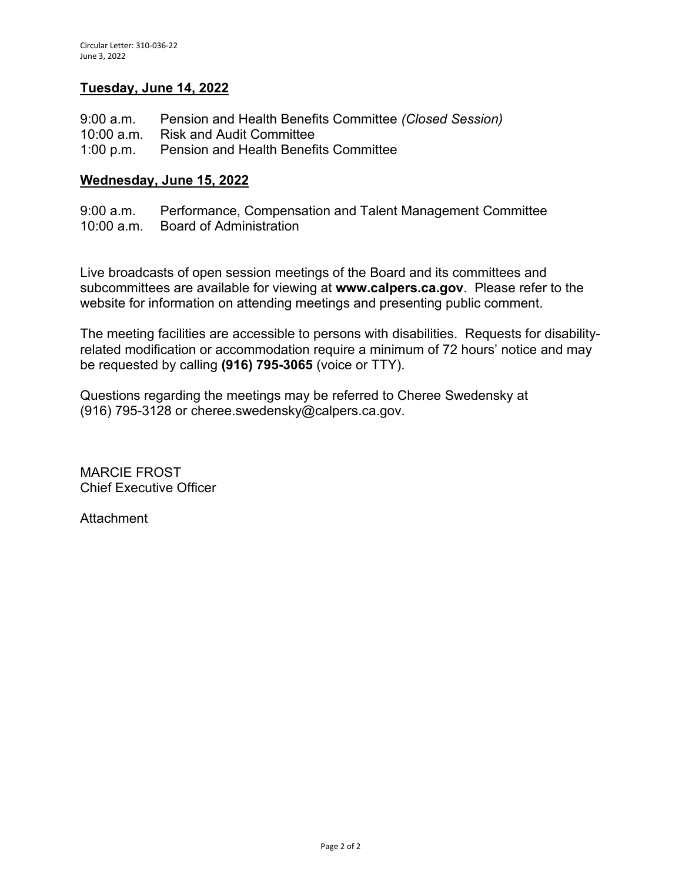#### **Tuesday, June 14, 2022**

| 9:00 a.m. | Pension and Health Benefits Committee (Closed Session) |
|-----------|--------------------------------------------------------|
|           | 10:00 a.m. Risk and Audit Committee                    |
|           | 1:00 p.m. Pension and Health Benefits Committee        |

#### **Wednesday, June 15, 2022**

9:00 a.m. Performance, Compensation and Talent Management Committee 10:00 a.m. Board of Administration

Live broadcasts of open session meetings of the Board and its committees and subcommittees are available for viewing at **www.calpers.ca.gov**. Please refer to the website for information on attending meetings and presenting public comment.

The meeting facilities are accessible to persons with disabilities. Requests for disabilityrelated modification or accommodation require a minimum of 72 hours' notice and may be requested by calling **(916) 795-3065** (voice or TTY).

Questions regarding the meetings may be referred to Cheree Swedensky at (916) 795-3128 or cheree.swedensky@calpers.ca.gov.

MARCIE FROST Chief Executive Officer

Attachment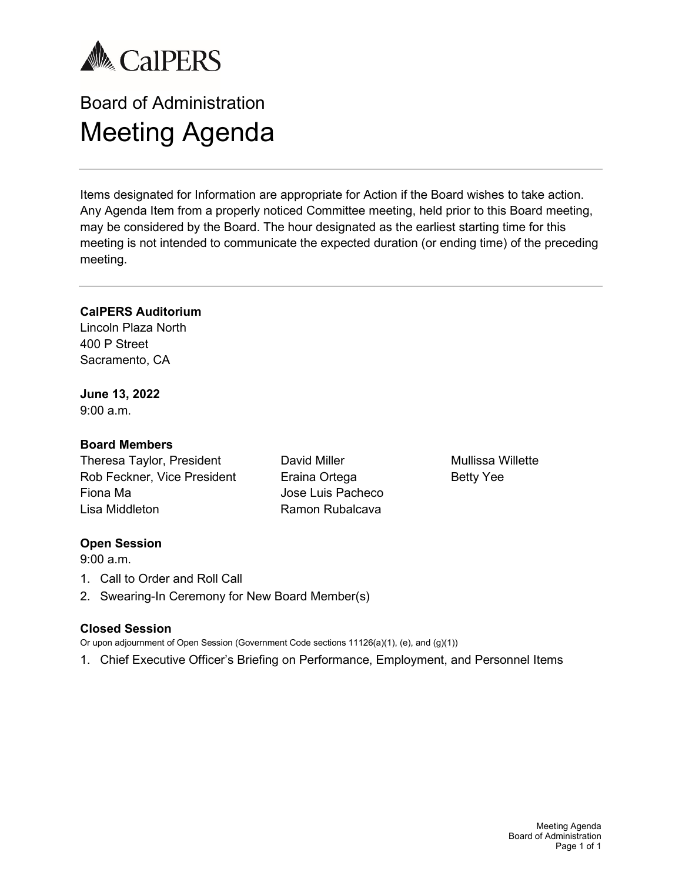

# Board of Administration Meeting Agenda

Items designated for Information are appropriate for Action if the Board wishes to take action. Any Agenda Item from a properly noticed Committee meeting, held prior to this Board meeting, may be considered by the Board. The hour designated as the earliest starting time for this meeting is not intended to communicate the expected duration (or ending time) of the preceding meeting.

#### **CalPERS Auditorium**

Lincoln Plaza North 400 P Street Sacramento, CA

**June 13, 2022**

 $9:00 a m$ 

#### **Board Members**

Theresa Taylor, President Rob Feckner, Vice President Fiona Ma Lisa Middleton

David Miller Eraina Ortega Jose Luis Pacheco Ramon Rubalcava

Mullissa Willette Betty Yee

#### **Open Session**

9:00 a.m.

- 1. Call to Order and Roll Call
- 2. Swearing-In Ceremony for New Board Member(s)

#### **Closed Session**

Or upon adjournment of Open Session (Government Code sections 11126(a)(1), (e), and (g)(1))

1. Chief Executive Officer's Briefing on Performance, Employment, and Personnel Items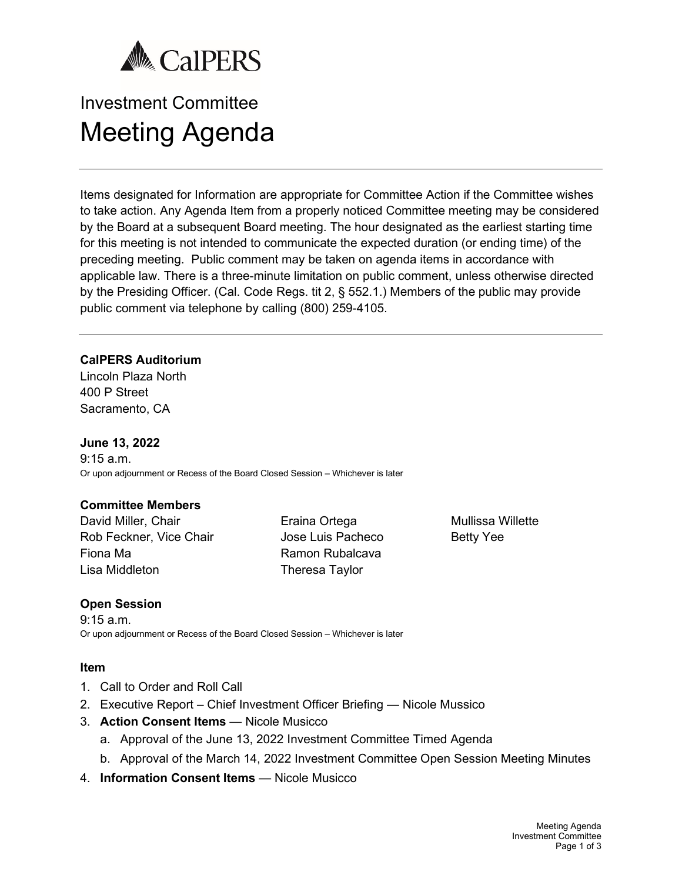

# Investment Committee Meeting Agenda

Items designated for Information are appropriate for Committee Action if the Committee wishes to take action. Any Agenda Item from a properly noticed Committee meeting may be considered by the Board at a subsequent Board meeting. The hour designated as the earliest starting time for this meeting is not intended to communicate the expected duration (or ending time) of the preceding meeting. Public comment may be taken on agenda items in accordance with applicable law. There is a three-minute limitation on public comment, unless otherwise directed by the Presiding Officer. (Cal. Code Regs. tit 2, § 552.1.) Members of the public may provide public comment via telephone by calling (800) 259-4105.

#### **CalPERS Auditorium**

Lincoln Plaza North 400 P Street Sacramento, CA

#### **June 13, 2022**

9:15 a.m. Or upon adjournment or Recess of the Board Closed Session – Whichever is later

#### **Committee Members**

David Miller, Chair Rob Feckner, Vice Chair Fiona Ma Lisa Middleton

Eraina Ortega Jose Luis Pacheco Ramon Rubalcava Theresa Taylor

Mullissa Willette Betty Yee

#### **Open Session**

9:15 a.m. Or upon adjournment or Recess of the Board Closed Session – Whichever is later

- 1. Call to Order and Roll Call
- 2. Executive Report Chief Investment Officer Briefing Nicole Mussico
- 3. **Action Consent Items** Nicole Musicco
	- a. Approval of the June 13, 2022 Investment Committee Timed Agenda
	- b. Approval of the March 14, 2022 Investment Committee Open Session Meeting Minutes
- 4. **Information Consent Items** Nicole Musicco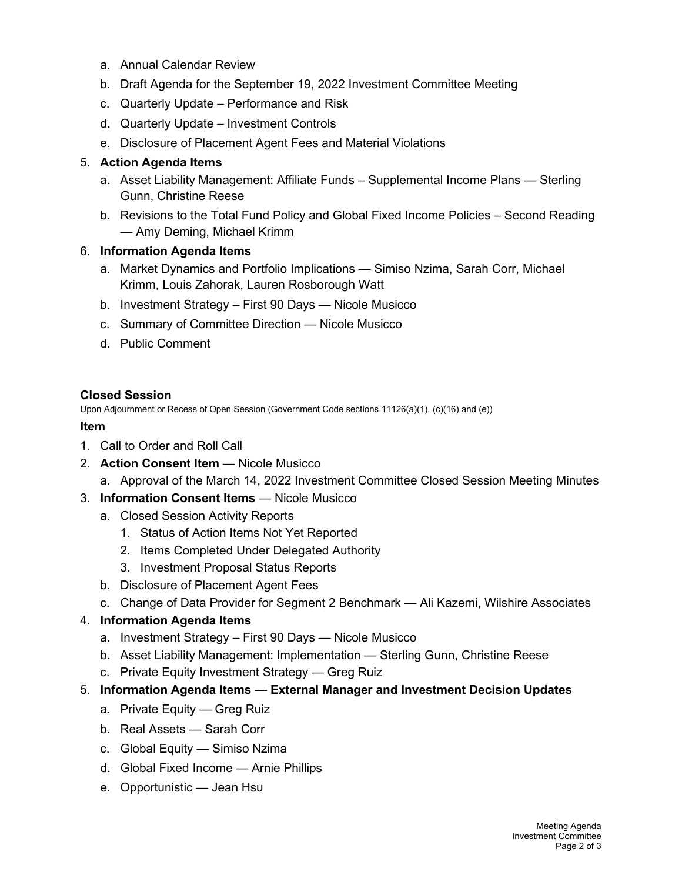- a. Annual Calendar Review
- b. Draft Agenda for the September 19, 2022 Investment Committee Meeting
- c. Quarterly Update Performance and Risk
- d. Quarterly Update Investment Controls
- e. Disclosure of Placement Agent Fees and Material Violations

#### 5. **Action Agenda Items**

- a. Asset Liability Management: Affiliate Funds Supplemental Income Plans Sterling Gunn, Christine Reese
- b. Revisions to the Total Fund Policy and Global Fixed Income Policies Second Reading — Amy Deming, Michael Krimm

#### 6. **Information Agenda Items**

- a. Market Dynamics and Portfolio Implications Simiso Nzima, Sarah Corr, Michael Krimm, Louis Zahorak, Lauren Rosborough Watt
- b. Investment Strategy First 90 Days Nicole Musicco
- c. Summary of Committee Direction Nicole Musicco
- d. Public Comment

#### **Closed Session**

Upon Adjournment or Recess of Open Session (Government Code sections 11126(a)(1), (c)(16) and (e))

#### **Item**

- 1. Call to Order and Roll Call
- 2. **Action Consent Item** Nicole Musicco
	- a. Approval of the March 14, 2022 Investment Committee Closed Session Meeting Minutes
- 3. **Information Consent Items** Nicole Musicco
	- a. Closed Session Activity Reports
		- 1. Status of Action Items Not Yet Reported
		- 2. Items Completed Under Delegated Authority
		- 3. Investment Proposal Status Reports
	- b. Disclosure of Placement Agent Fees
	- c. Change of Data Provider for Segment 2 Benchmark Ali Kazemi, Wilshire Associates

## 4. **Information Agenda Items**

- a. Investment Strategy First 90 Days Nicole Musicco
- b. Asset Liability Management: Implementation Sterling Gunn, Christine Reese
- c. Private Equity Investment Strategy Greg Ruiz
- 5. **Information Agenda Items — External Manager and Investment Decision Updates**
	- a. Private Equity Greg Ruiz
	- b. Real Assets Sarah Corr
	- c. Global Equity Simiso Nzima
	- d. Global Fixed Income Arnie Phillips
	- e. Opportunistic Jean Hsu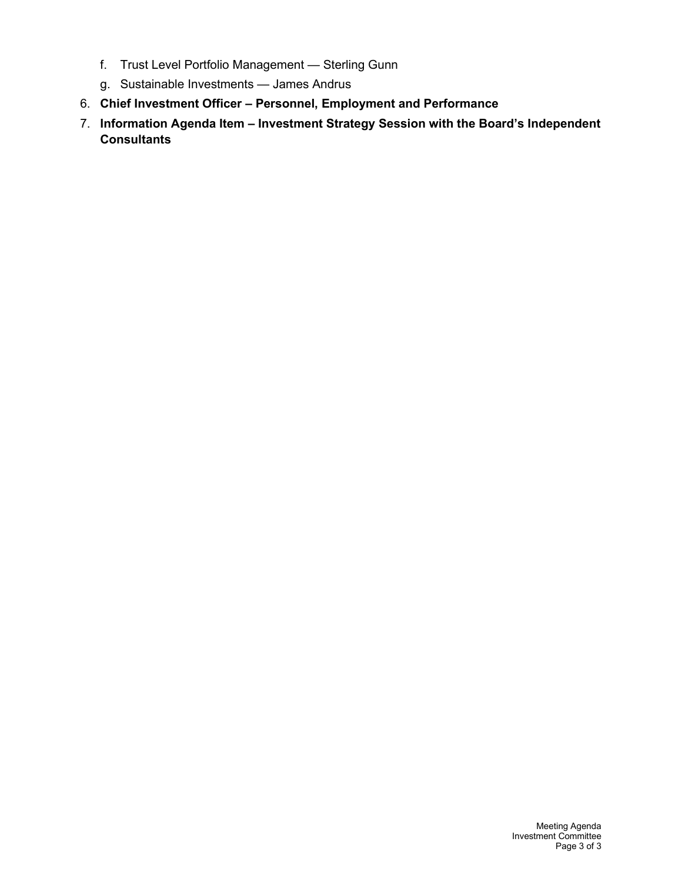- f. Trust Level Portfolio Management Sterling Gunn
- g. Sustainable Investments James Andrus
- 6. **Chief Investment Officer – Personnel, Employment and Performance**
- 7. **Information Agenda Item – Investment Strategy Session with the Board's Independent Consultants**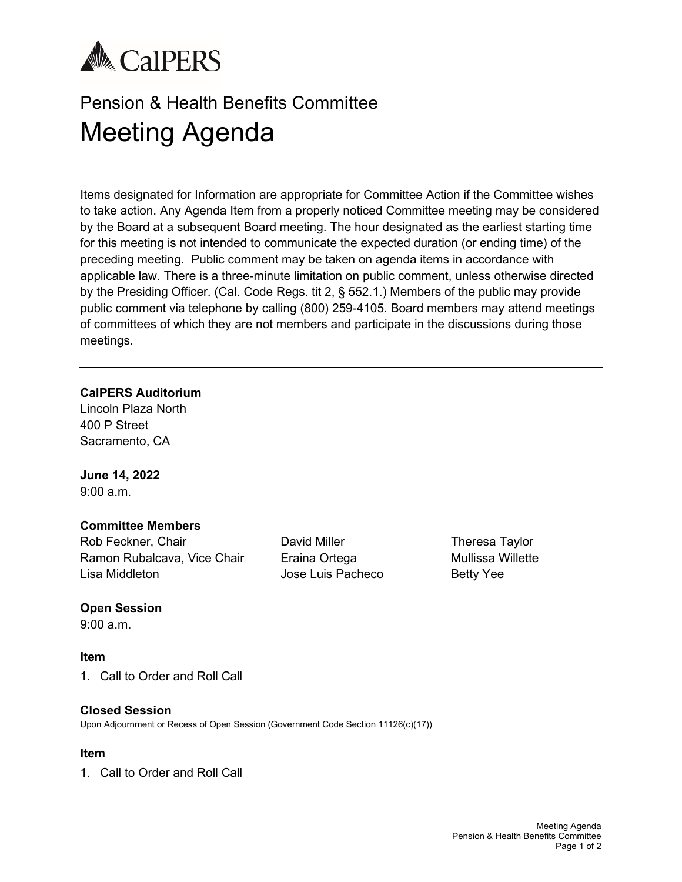

# Pension & Health Benefits Committee Meeting Agenda

Items designated for Information are appropriate for Committee Action if the Committee wishes to take action. Any Agenda Item from a properly noticed Committee meeting may be considered by the Board at a subsequent Board meeting. The hour designated as the earliest starting time for this meeting is not intended to communicate the expected duration (or ending time) of the preceding meeting. Public comment may be taken on agenda items in accordance with applicable law. There is a three-minute limitation on public comment, unless otherwise directed by the Presiding Officer. (Cal. Code Regs. tit 2, § 552.1.) Members of the public may provide public comment via telephone by calling (800) 259-4105. Board members may attend meetings of committees of which they are not members and participate in the discussions during those meetings.

#### **CalPERS Auditorium**

Lincoln Plaza North 400 P Street Sacramento, CA

# **June 14, 2022**

9:00 a.m.

#### **Committee Members**

Rob Feckner, Chair Ramon Rubalcava, Vice Chair Lisa Middleton

David Miller Eraina Ortega Jose Luis Pacheco Theresa Taylor Mullissa Willette Betty Yee

#### **Open Session**

9:00 a.m.

#### **Item**

1. Call to Order and Roll Call

#### **Closed Session**

Upon Adjournment or Recess of Open Session (Government Code Section 11126(c)(17))

#### **Item**

1. Call to Order and Roll Call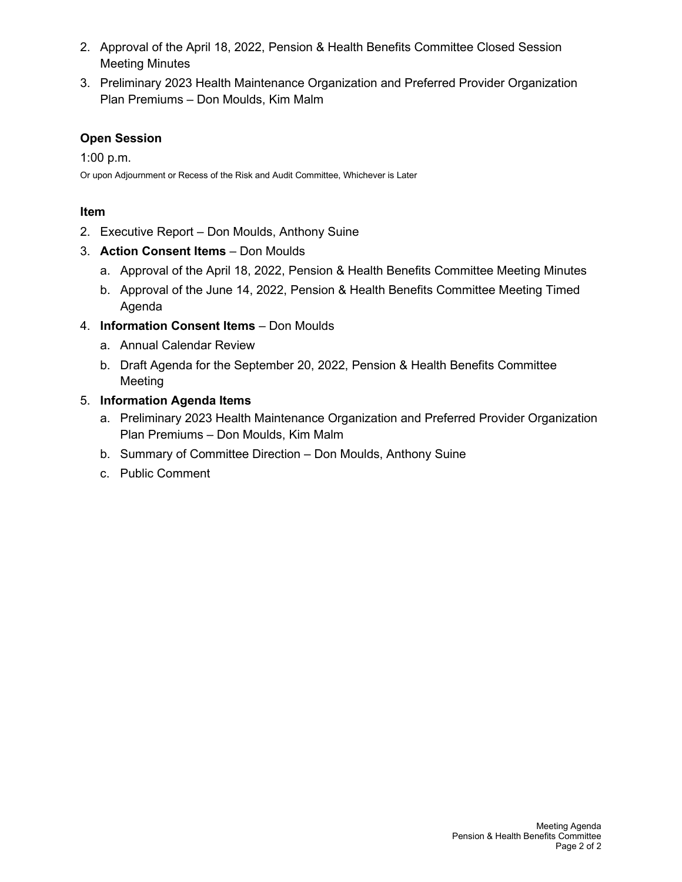- 2. Approval of the April 18, 2022, Pension & Health Benefits Committee Closed Session Meeting Minutes
- 3. Preliminary 2023 Health Maintenance Organization and Preferred Provider Organization Plan Premiums – Don Moulds, Kim Malm

# **Open Session**

1:00 p.m.

Or upon Adjournment or Recess of the Risk and Audit Committee, Whichever is Later

## **Item**

- 2. Executive Report Don Moulds, Anthony Suine
- 3. **Action Consent Items** Don Moulds
	- a. Approval of the April 18, 2022, Pension & Health Benefits Committee Meeting Minutes
	- b. Approval of the June 14, 2022, Pension & Health Benefits Committee Meeting Timed Agenda
- 4. **Information Consent Items** Don Moulds
	- a. Annual Calendar Review
	- b. Draft Agenda for the September 20, 2022, Pension & Health Benefits Committee Meeting

# 5. **Information Agenda Items**

- a. Preliminary 2023 Health Maintenance Organization and Preferred Provider Organization Plan Premiums – Don Moulds, Kim Malm
- b. Summary of Committee Direction Don Moulds, Anthony Suine
- c. Public Comment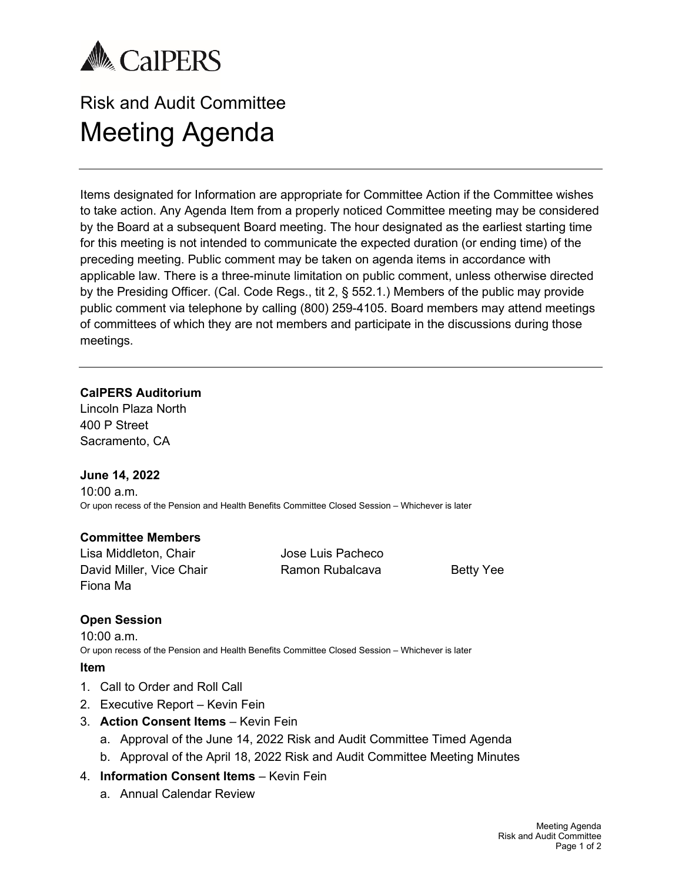

# Risk and Audit Committee Meeting Agenda

Items designated for Information are appropriate for Committee Action if the Committee wishes to take action. Any Agenda Item from a properly noticed Committee meeting may be considered by the Board at a subsequent Board meeting. The hour designated as the earliest starting time for this meeting is not intended to communicate the expected duration (or ending time) of the preceding meeting. Public comment may be taken on agenda items in accordance with applicable law. There is a three-minute limitation on public comment, unless otherwise directed by the Presiding Officer. (Cal. Code Regs., tit 2, § 552.1.) Members of the public may provide public comment via telephone by calling (800) 259-4105. Board members may attend meetings of committees of which they are not members and participate in the discussions during those meetings.

#### **CalPERS Auditorium**

Lincoln Plaza North 400 P Street Sacramento, CA

#### **June 14, 2022**

10:00 a.m. Or upon recess of the Pension and Health Benefits Committee Closed Session – Whichever is later

#### **Committee Members**

Lisa Middleton, Chair David Miller, Vice Chair Fiona Ma

Jose Luis Pacheco Ramon Rubalcava Betty Yee

#### **Open Session**

10:00 a.m. Or upon recess of the Pension and Health Benefits Committee Closed Session – Whichever is later

- 1. Call to Order and Roll Call
- 2. Executive Report Kevin Fein
- 3. **Action Consent Items** Kevin Fein
	- a. Approval of the June 14, 2022 Risk and Audit Committee Timed Agenda
	- b. Approval of the April 18, 2022 Risk and Audit Committee Meeting Minutes
- 4. **Information Consent Items** Kevin Fein
	- a. Annual Calendar Review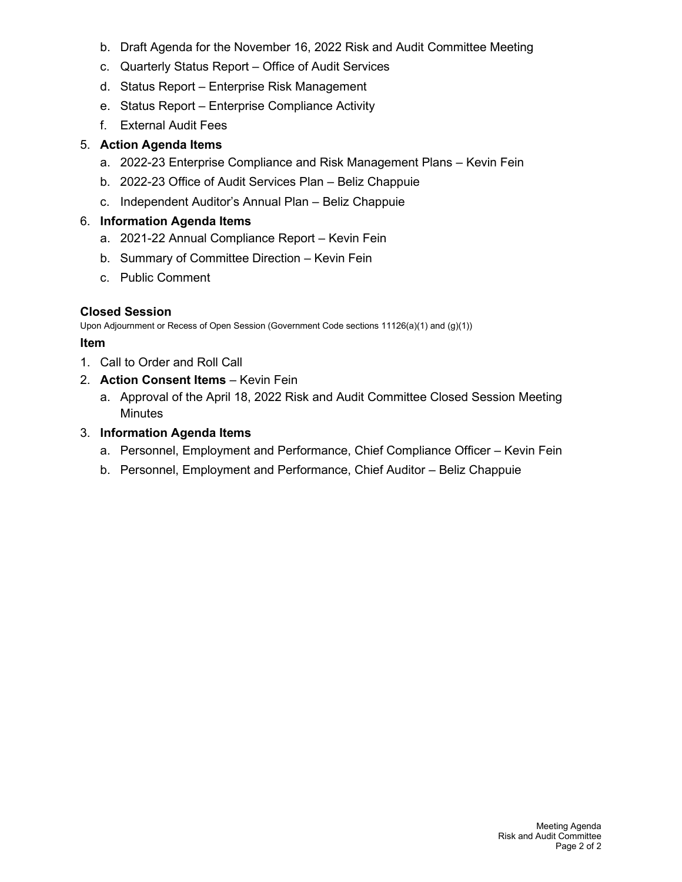- b. Draft Agenda for the November 16, 2022 Risk and Audit Committee Meeting
- c. Quarterly Status Report Office of Audit Services
- d. Status Report Enterprise Risk Management
- e. Status Report Enterprise Compliance Activity
- f. External Audit Fees

## 5. **Action Agenda Items**

- a. 2022-23 Enterprise Compliance and Risk Management Plans Kevin Fein
- b. 2022-23 Office of Audit Services Plan Beliz Chappuie
- c. Independent Auditor's Annual Plan Beliz Chappuie

## 6. **Information Agenda Items**

- a. 2021-22 Annual Compliance Report Kevin Fein
- b. Summary of Committee Direction Kevin Fein
- c. Public Comment

# **Closed Session**

Upon Adjournment or Recess of Open Session (Government Code sections 11126(a)(1) and (g)(1))

- 1. Call to Order and Roll Call
- 2. **Action Consent Items** Kevin Fein
	- a. Approval of the April 18, 2022 Risk and Audit Committee Closed Session Meeting **Minutes**
- 3. **Information Agenda Items**
	- a. Personnel, Employment and Performance, Chief Compliance Officer Kevin Fein
	- b. Personnel, Employment and Performance, Chief Auditor Beliz Chappuie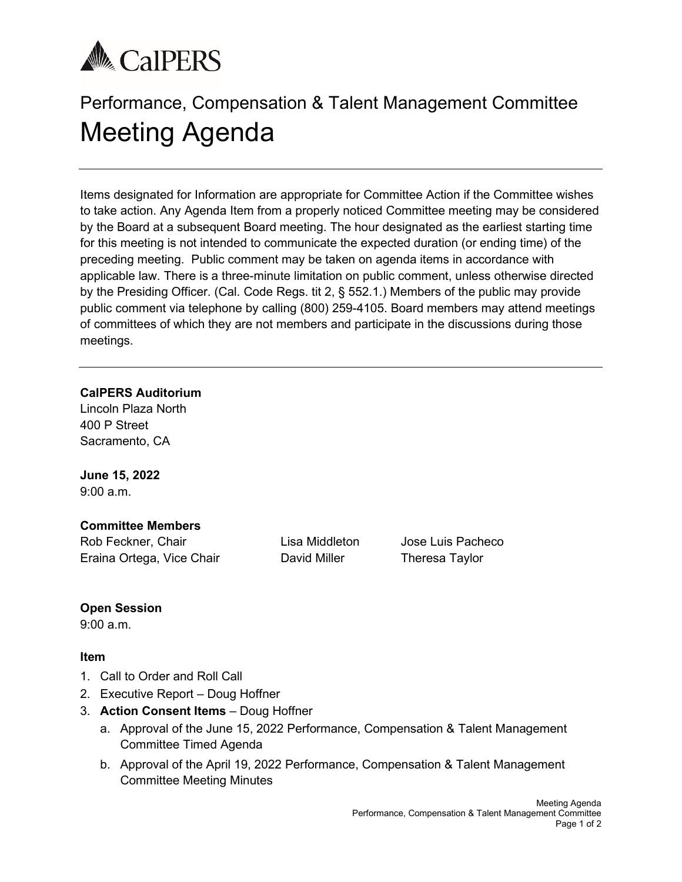# **A** CalPERS

# Performance, Compensation & Talent Management Committee Meeting Agenda

Items designated for Information are appropriate for Committee Action if the Committee wishes to take action. Any Agenda Item from a properly noticed Committee meeting may be considered by the Board at a subsequent Board meeting. The hour designated as the earliest starting time for this meeting is not intended to communicate the expected duration (or ending time) of the preceding meeting. Public comment may be taken on agenda items in accordance with applicable law. There is a three-minute limitation on public comment, unless otherwise directed by the Presiding Officer. (Cal. Code Regs. tit 2, § 552.1.) Members of the public may provide public comment via telephone by calling (800) 259-4105. Board members may attend meetings of committees of which they are not members and participate in the discussions during those meetings.

#### **CalPERS Auditorium**

Lincoln Plaza North 400 P Street Sacramento, CA

**June 15, 2022** 9:00 a.m.

## **Committee Members**

Rob Feckner, Chair **Lisa Middleton** Jose Luis Pacheco Eraina Ortega, Vice Chair **David Miller** Theresa Taylor

# **Open Session**

9:00 a.m.

- 1. Call to Order and Roll Call
- 2. Executive Report Doug Hoffner
- 3. **Action Consent Items** Doug Hoffner
	- a. Approval of the June 15, 2022 Performance, Compensation & Talent Management Committee Timed Agenda
	- b. Approval of the April 19, 2022 Performance, Compensation & Talent Management Committee Meeting Minutes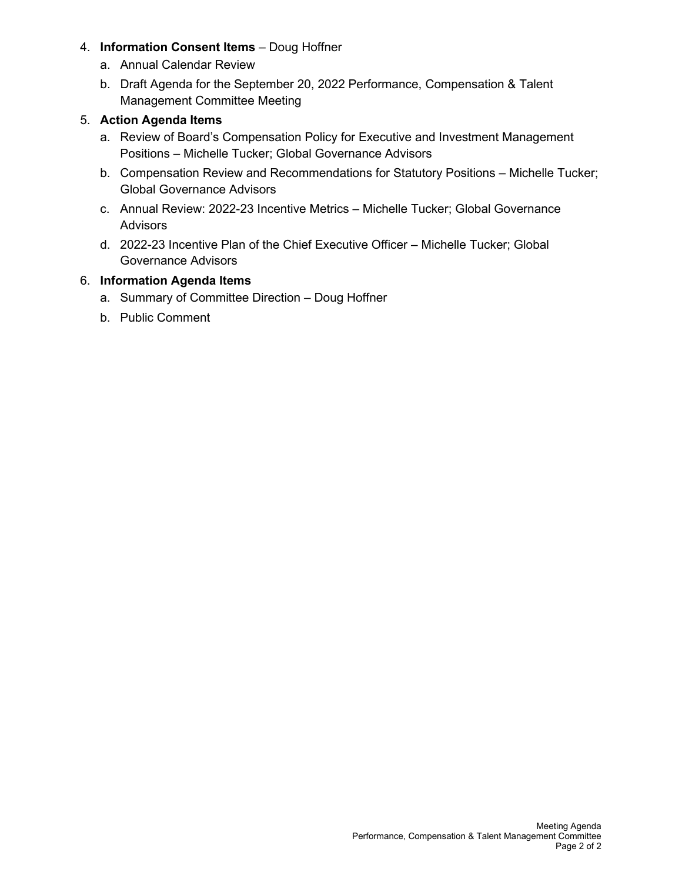- 4. **Information Consent Items** Doug Hoffner
	- a. Annual Calendar Review
	- b. Draft Agenda for the September 20, 2022 Performance, Compensation & Talent Management Committee Meeting

#### 5. **Action Agenda Items**

- a. Review of Board's Compensation Policy for Executive and Investment Management Positions – Michelle Tucker; Global Governance Advisors
- b. Compensation Review and Recommendations for Statutory Positions Michelle Tucker; Global Governance Advisors
- c. Annual Review: 2022-23 Incentive Metrics Michelle Tucker; Global Governance Advisors
- d. 2022-23 Incentive Plan of the Chief Executive Officer Michelle Tucker; Global Governance Advisors

#### 6. **Information Agenda Items**

- a. Summary of Committee Direction Doug Hoffner
- b. Public Comment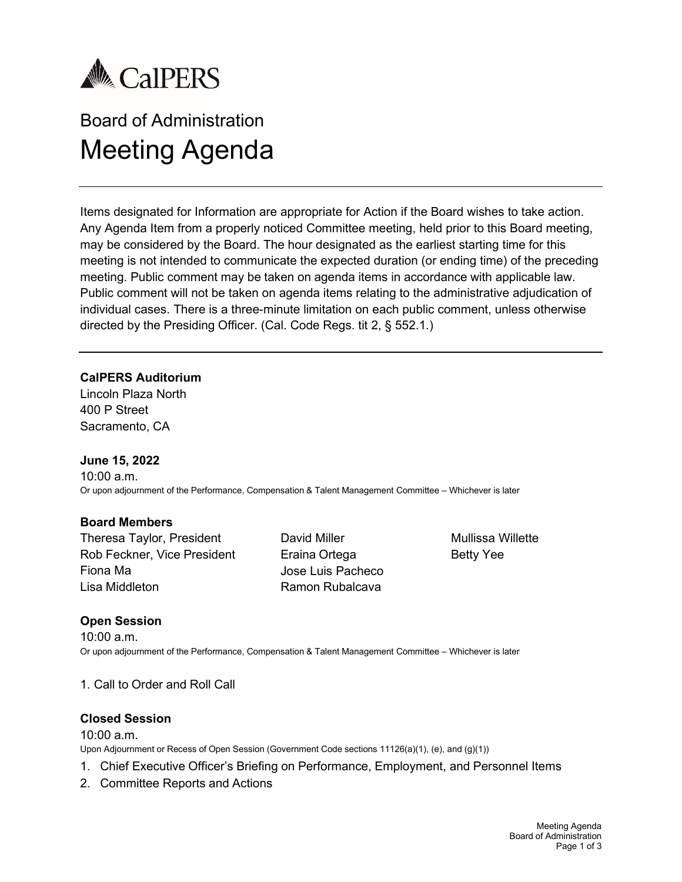

# Board of Administration Meeting Agenda

Items designated for Information are appropriate for Action if the Board wishes to take action. Any Agenda Item from a properly noticed Committee meeting, held prior to this Board meeting, may be considered by the Board. The hour designated as the earliest starting time for this meeting is not intended to communicate the expected duration (or ending time) of the preceding meeting. Public comment may be taken on agenda items in accordance with applicable law. Public comment will not be taken on agenda items relating to the administrative adjudication of individual cases. There is a three-minute limitation on each public comment, unless otherwise directed by the Presiding Officer. (Cal. Code Regs. tit 2, § 552.1.)

#### **CalPERS Auditorium**

Lincoln Plaza North 400 P Street Sacramento, CA

#### **June 15, 2022**

10:00 a.m. Or upon adjournment of the Performance, Compensation & Talent Management Committee – Whichever is later

#### **Board Members**

Theresa Taylor, President Rob Feckner, Vice President Fiona Ma Lisa Middleton

David Miller Eraina Ortega Jose Luis Pacheco Ramon Rubalcava

Mullissa Willette Betty Yee

#### **Open Session**

10:00 a.m. Or upon adjournment of the Performance, Compensation & Talent Management Committee – Whichever is later

1. Call to Order and Roll Call

#### **Closed Session**

#### 10:00 a.m.

Upon Adjournment or Recess of Open Session (Government Code sections 11126(a)(1), (e), and (g)(1))

- 1. Chief Executive Officer's Briefing on Performance, Employment, and Personnel Items
- 2. Committee Reports and Actions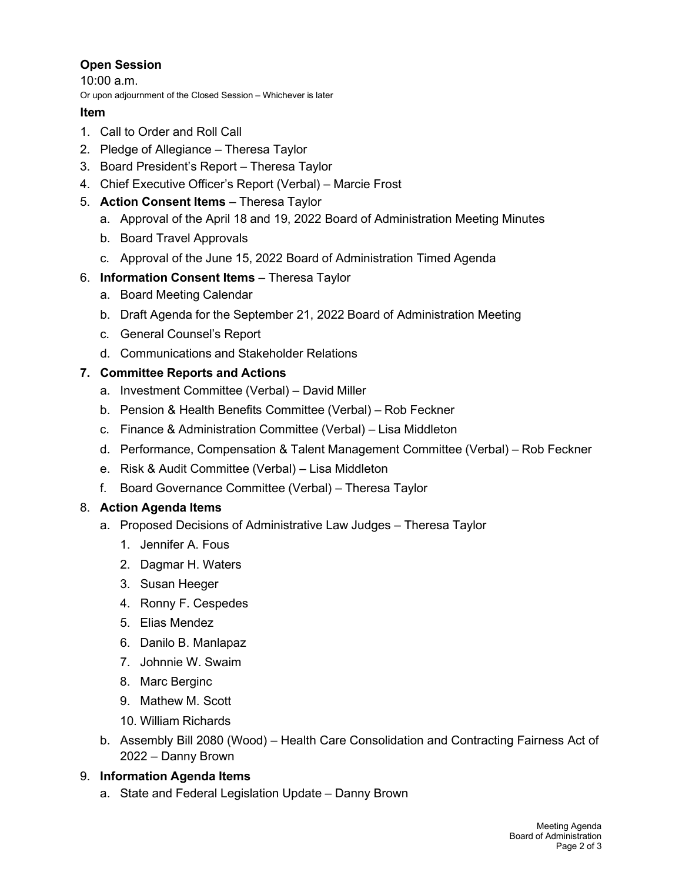# **Open Session**

10:00 a.m. Or upon adjournment of the Closed Session – Whichever is later

#### **Item**

- 1. Call to Order and Roll Call
- 2. Pledge of Allegiance Theresa Taylor
- 3. Board President's Report Theresa Taylor
- 4. Chief Executive Officer's Report (Verbal) Marcie Frost
- 5. **Action Consent Items** Theresa Taylor
	- a. Approval of the April 18 and 19, 2022 Board of Administration Meeting Minutes
	- b. Board Travel Approvals
	- c. Approval of the June 15, 2022 Board of Administration Timed Agenda

# 6. **Information Consent Items** – Theresa Taylor

- a. Board Meeting Calendar
- b. Draft Agenda for the September 21, 2022 Board of Administration Meeting
- c. General Counsel's Report
- d. Communications and Stakeholder Relations

# **7. Committee Reports and Actions**

- a. Investment Committee (Verbal) David Miller
- b. Pension & Health Benefits Committee (Verbal) Rob Feckner
- c. Finance & Administration Committee (Verbal) Lisa Middleton
- d. Performance, Compensation & Talent Management Committee (Verbal) Rob Feckner
- e. Risk & Audit Committee (Verbal) Lisa Middleton
- f. Board Governance Committee (Verbal) Theresa Taylor

# 8. **Action Agenda Items**

- a. Proposed Decisions of Administrative Law Judges Theresa Taylor
	- 1. Jennifer A. Fous
	- 2. Dagmar H. Waters
	- 3. Susan Heeger
	- 4. Ronny F. Cespedes
	- 5. Elias Mendez
	- 6. Danilo B. Manlapaz
	- 7. Johnnie W. Swaim
	- 8. Marc Berginc
	- 9. Mathew M. Scott
	- 10. William Richards
- b. Assembly Bill 2080 (Wood) Health Care Consolidation and Contracting Fairness Act of 2022 – Danny Brown

# 9. **Information Agenda Items**

a. State and Federal Legislation Update – Danny Brown